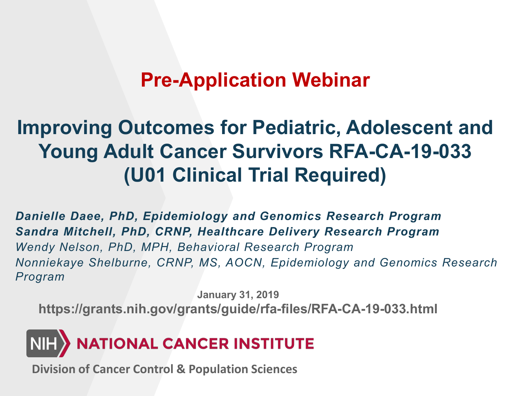## **Pre-Application Webinar**

## **Improving Outcomes for Pediatric, Adolescent and Young Adult Cancer Survivors RFA-CA-19-033 (U01 Clinical Trial Required)**

*Danielle Daee, PhD, Epidemiology and Genomics Research Program Sandra Mitchell, PhD, CRNP, Healthcare Delivery Research Program Wendy Nelson, PhD, MPH, Behavioral Research Program Nonniekaye Shelburne, CRNP, MS, AOCN, Epidemiology and Genomics Research Program*

**January 31, 2019 <https://grants.nih.gov/grants/guide/rfa-files/RFA-CA-19-033.html>**



**Division of Cancer Control & Population Sciences**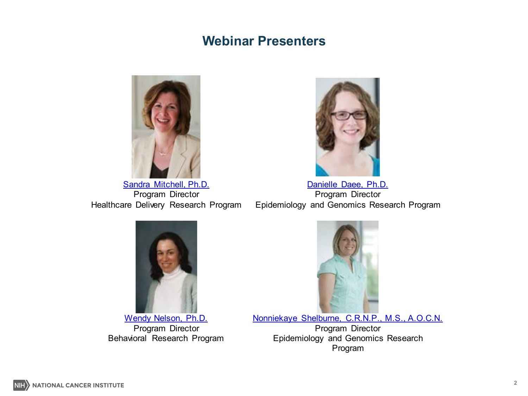#### **Webinar Presenters**



Sandra Mitchell, Ph.D. Program Director Healthcare Delivery Research Program



Danielle Daee, Ph.D. Program Director Epidemiology and Genomics Research Program



Wendy Nelson, Ph.D. Program Director Behavioral Research Program



Nonniekaye Shelburne, C.R.N.P., M.S., A.O.C.N.

Program Director Epidemiology and Genomics Research Program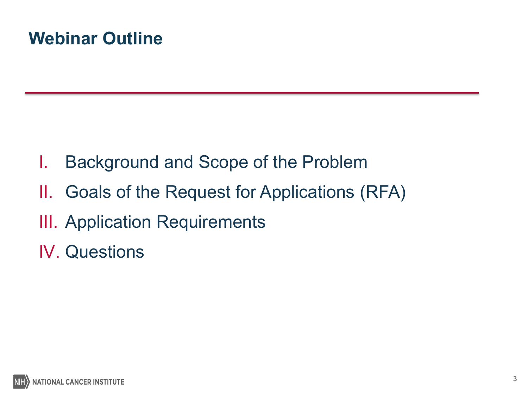## **Webinar Outline**

- I. Background and Scope of the Problem
- II. Goals of the Request for Applications (RFA)
- III. Application Requirements
- IV. Questions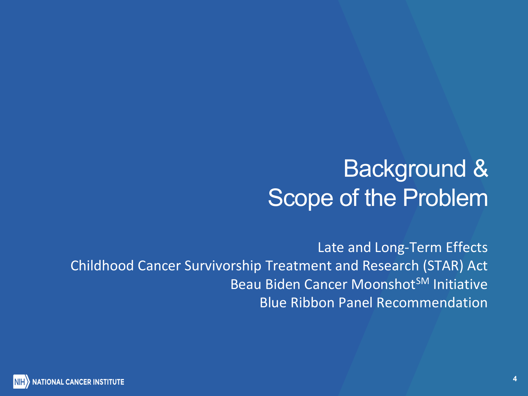# Background & Scope of the Problem

Late and Long-Term Effects Childhood Cancer Survivorship Treatment and Research (STAR) Act Beau Biden Cancer Moonshot<sup>SM</sup> Initiative Blue Ribbon Panel Recommendation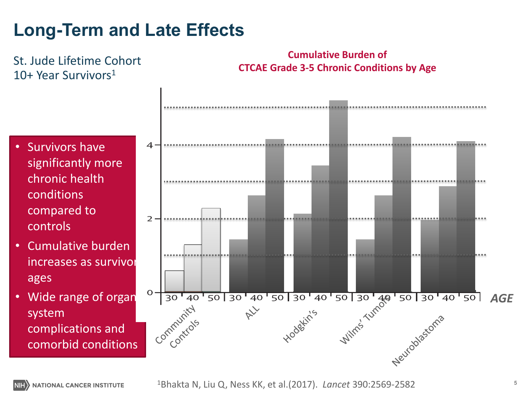## **Long-Term and Late Effects**

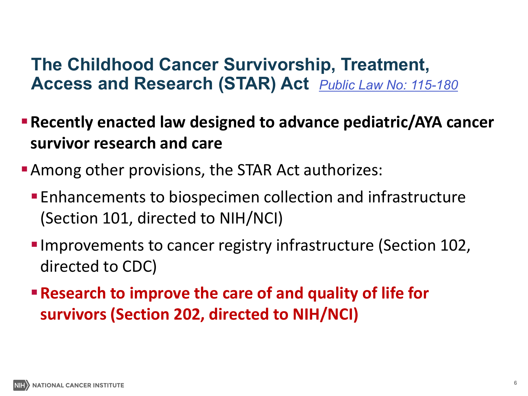#### **The Childhood Cancer Survivorship, Treatment, Access and Research (STAR) Act** *[Public Law No: 115-180](https://www.congress.gov/bill/115th-congress/senate-bill/292/text?q=%7b%22search%22:%5b%22s292%22%5d%7d&r=1&s=2)*

- **Recently enacted law designed to advance pediatric/AYA cancer survivor research and care**
- **Among other provisions, the STAR Act authorizes:** 
	- Enhancements to biospecimen collection and infrastructure (Section 101, directed to NIH/NCI)
	- **Improvements to cancer registry infrastructure (Section 102,** directed to CDC)
	- **Research to improve the care of and quality of life for survivors (Section 202, directed to NIH/NCI)**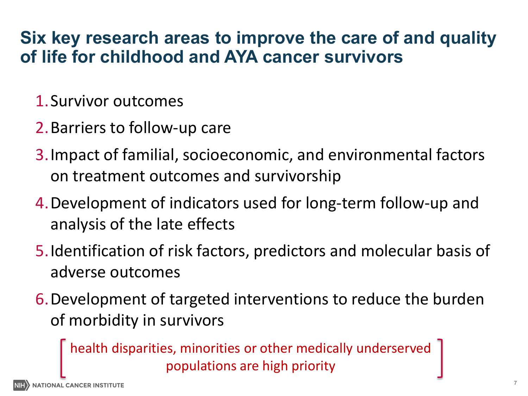#### **Six key research areas to improve the care of and quality of life for childhood and AYA cancer survivors**

- 1.Survivor outcomes
- 2.Barriers to follow-up care
- 3.Impact of familial, socioeconomic, and environmental factors on treatment outcomes and survivorship
- 4.Development of indicators used for long-term follow-up and analysis of the late effects
- 5.Identification of risk factors, predictors and molecular basis of adverse outcomes
- 6.Development of targeted interventions to reduce the burden of morbidity in survivors

health disparities, minorities or other medically underserved populations are high priority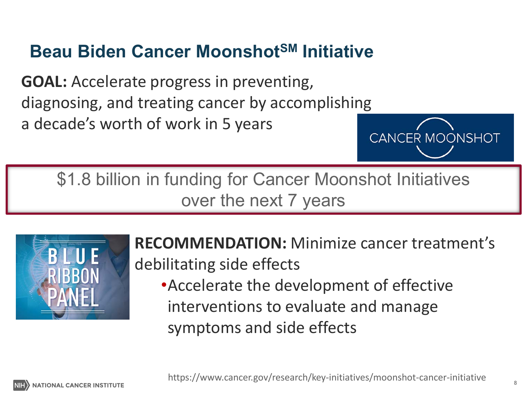## **Beau Biden Cancer MoonshotSM Initiative**

**GOAL:** Accelerate progress in preventing, diagnosing, and treating cancer by accomplishing a decade's worth of work in 5 years **CANCER MOONSHOT** 

\$1.8 billion in funding for Cancer Moonshot Initiatives over the next 7 years



**RECOMMENDATION:** Minimize cancer treatment's debilitating side effects •Accelerate the development of effective interventions to evaluate and manage symptoms and side effects

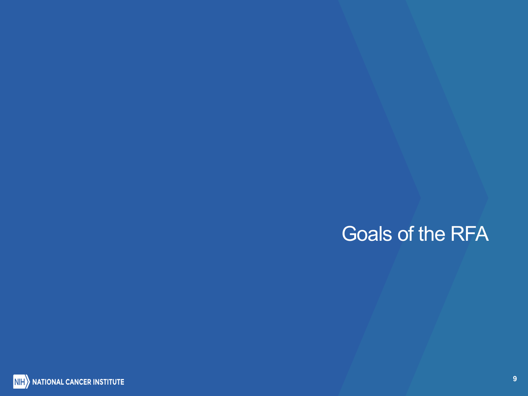## Goals of the RFA

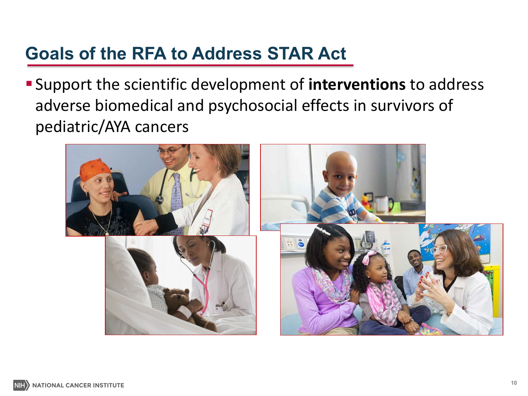### **Goals of the RFA to Address STAR Act**

Support the scientific development of **interventions** to address adverse biomedical and psychosocial effects in survivors of pediatric/AYA cancers

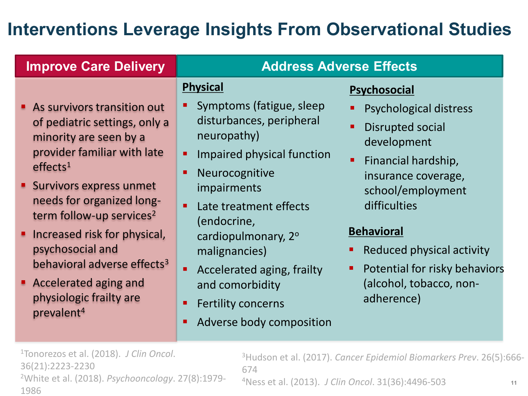## **Interventions Leverage Insights From Observational Studies**

#### **Improve Care Delivery**

#### **Address Adverse Effects**

#### **Physical**

- As survivors transition out of pediatric settings, only a minority are seen by a provider familiar with late  $effects<sup>1</sup>$
- Survivors express unmet needs for organized longterm follow-up services<sup>2</sup>
- Increased risk for physical, psychosocial and behavioral adverse effects<sup>3</sup>
- **Accelerated aging and** physiologic frailty are prevalent4
- Symptoms (fatigue, sleep disturbances, peripheral neuropathy)
- **Impaired physical function**
- **Neurocognitive** impairments
- Late treatment effects (endocrine, cardiopulmonary, 2o malignancies)
- **Accelerated aging, frailty** and comorbidity
- Fertility concerns
- Adverse body composition

#### **Psychosocial**

- Psychological distress
- Disrupted social development
- Financial hardship, insurance coverage, school/employment difficulties

#### **Behavioral**

- Reduced physical activity
- Potential for risky behaviors (alcohol, tobacco, nonadherence)

1Tonorezos et al. (2018). *J Clin Oncol*. 36(21):2223-2230 2White et al. (2018). *Psychooncology*. 27(8):1979- 1986

3Hudson et al. (2017). *Cancer Epidemiol Biomarkers Prev*. 26(5):666- 674

4Ness et al. (2013). *J Clin Oncol*. 31(36):4496-503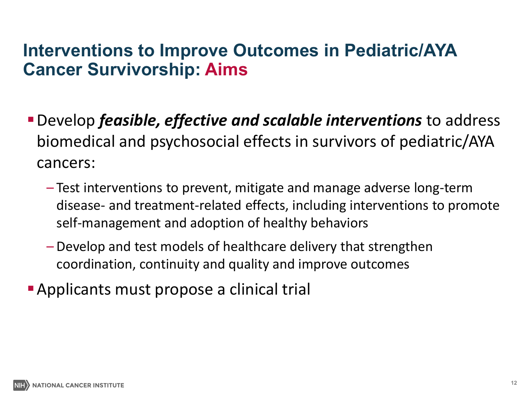#### **Interventions to Improve Outcomes in Pediatric/AYA Cancer Survivorship: Aims**

- Develop *feasible, effective and scalable interventions* to address biomedical and psychosocial effects in survivors of pediatric/AYA cancers:
	- Test interventions to prevent, mitigate and manage adverse long-term disease- and treatment-related effects, including interventions to promote self-management and adoption of healthy behaviors
	- Develop and test models of healthcare delivery that strengthen coordination, continuity and quality and improve outcomes
- Applicants must propose a clinical trial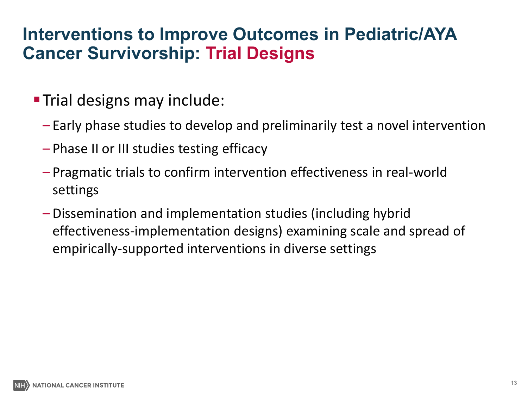#### **Interventions to Improve Outcomes in Pediatric/AYA Cancer Survivorship: Trial Designs**

- **Trial designs may include:** 
	- Early phase studies to develop and preliminarily test a novel intervention
	- Phase II or III studies testing efficacy
	- Pragmatic trials to confirm intervention effectiveness in real-world settings
	- Dissemination and implementation studies (including hybrid effectiveness-implementation designs) examining scale and spread of empirically-supported interventions in diverse settings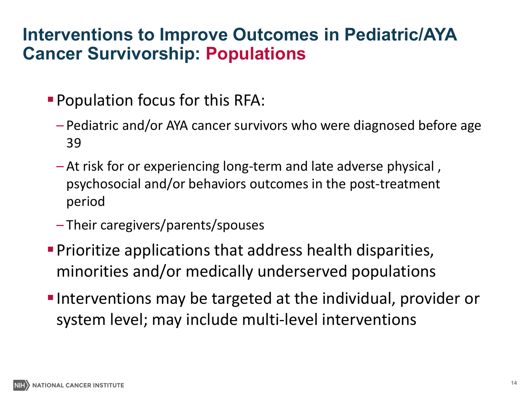#### **Interventions to Improve Outcomes in Pediatric/AYA Cancer Survivorship: Populations**

- **Population focus for this RFA:** 
	- Pediatric and/or AYA cancer survivors who were diagnosed before age 39
	- At risk for or experiencing long-term and late adverse physical , psychosocial and/or behaviors outcomes in the post-treatment period
	- Their caregivers/parents/spouses
- Prioritize applications that address health disparities, minorities and/or medically underserved populations
- **Interventions may be targeted at the individual, provider or** system level; may include multi-level interventions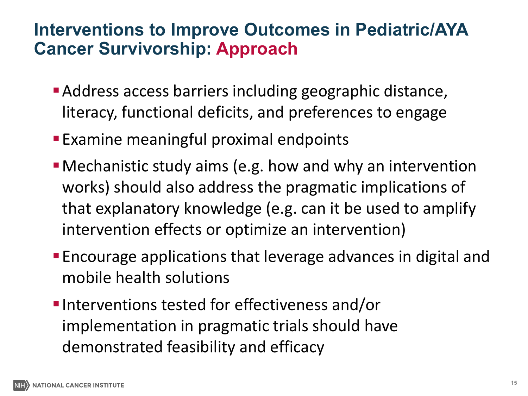#### **Interventions to Improve Outcomes in Pediatric/AYA Cancer Survivorship: Approach**

- Address access barriers including geographic distance, literacy, functional deficits, and preferences to engage
- **Examine meaningful proximal endpoints**
- Mechanistic study aims (e.g. how and why an intervention works) should also address the pragmatic implications of that explanatory knowledge (e.g. can it be used to amplify intervention effects or optimize an intervention)
- Encourage applications that leverage advances in digital and mobile health solutions
- **Interventions tested for effectiveness and/or** implementation in pragmatic trials should have demonstrated feasibility and efficacy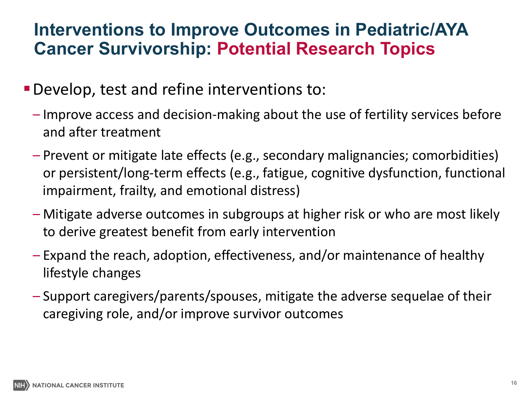#### **Interventions to Improve Outcomes in Pediatric/AYA Cancer Survivorship: Potential Research Topics**

- Develop, test and refine interventions to:
	- Improve access and decision-making about the use of fertility services before and after treatment
	- Prevent or mitigate late effects (e.g., secondary malignancies; comorbidities) or persistent/long-term effects (e.g., fatigue, cognitive dysfunction, functional impairment, frailty, and emotional distress)
	- Mitigate adverse outcomes in subgroups at higher risk or who are most likely to derive greatest benefit from early intervention
	- Expand the reach, adoption, effectiveness, and/or maintenance of healthy lifestyle changes
	- Support caregivers/parents/spouses, mitigate the adverse sequelae of their caregiving role, and/or improve survivor outcomes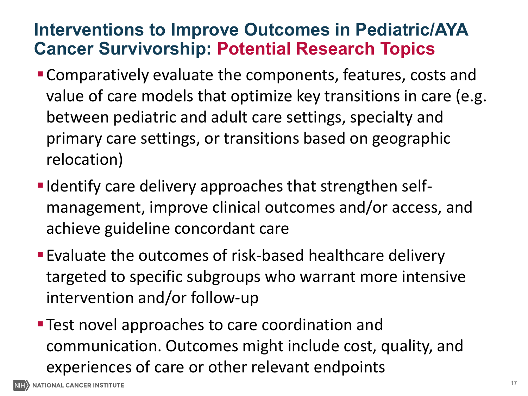#### **Interventions to Improve Outcomes in Pediatric/AYA Cancer Survivorship: Potential Research Topics**

- Comparatively evaluate the components, features, costs and value of care models that optimize key transitions in care (e.g. between pediatric and adult care settings, specialty and primary care settings, or transitions based on geographic relocation)
- **I** Identify care delivery approaches that strengthen selfmanagement, improve clinical outcomes and/or access, and achieve guideline concordant care
- Evaluate the outcomes of risk-based healthcare delivery targeted to specific subgroups who warrant more intensive intervention and/or follow-up
- **Test novel approaches to care coordination and** communication. Outcomes might include cost, quality, and experiences of care or other relevant endpoints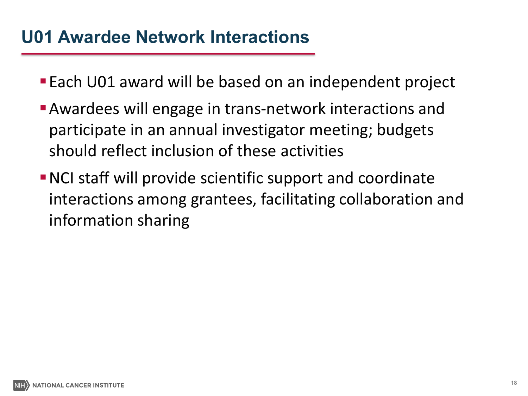#### **U01 Awardee Network Interactions**

- **Each U01 award will be based on an independent project**
- Awardees will engage in trans-network interactions and participate in an annual investigator meeting; budgets should reflect inclusion of these activities
- NCI staff will provide scientific support and coordinate interactions among grantees, facilitating collaboration and information sharing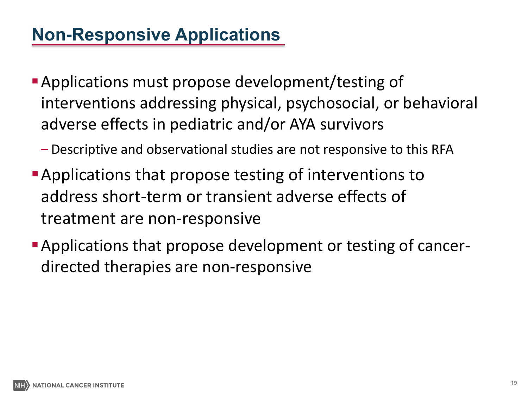## **Non-Responsive Applications**

- Applications must propose development/testing of interventions addressing physical, psychosocial, or behavioral adverse effects in pediatric and/or AYA survivors
	- Descriptive and observational studies are not responsive to this RFA
- **Applications that propose testing of interventions to** address short-term or transient adverse effects of treatment are non-responsive
- Applications that propose development or testing of cancerdirected therapies are non-responsive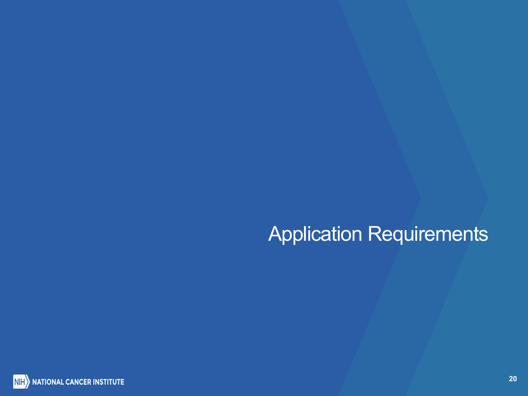## Application Requirements

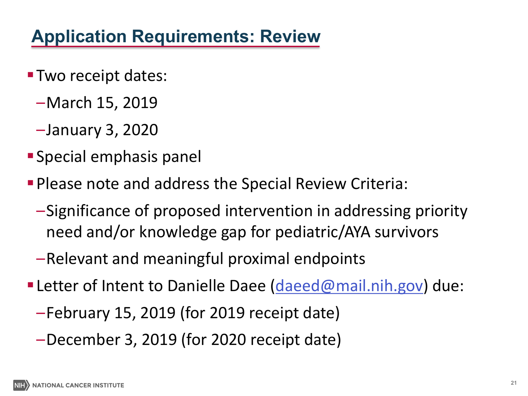## **Application Requirements: Review**

- **Two receipt dates:** 
	- –March 15, 2019
	- –January 3, 2020
- Special emphasis panel
- Please note and address the Special Review Criteria:
	- –Significance of proposed intervention in addressing priority need and/or knowledge gap for pediatric/AYA survivors
	- –Relevant and meaningful proximal endpoints
- **Letter of Intent to Danielle Daee ([daeed@mail.nih.gov](mailto:daeed@mail.nih.gov)) due:** 
	- –February 15, 2019 (for 2019 receipt date)
	- –December 3, 2019 (for 2020 receipt date)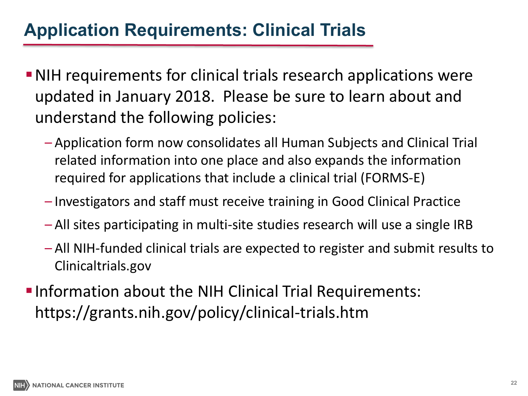### **Application Requirements: Clinical Trials**

- NIH requirements for clinical trials research applications were updated in January 2018. Please be sure to learn about and understand the following policies:
	- Application form now consolidates all Human Subjects and Clinical Trial related information into one place and also expands the information required for applications that include a clinical trial (FORMS-E)
	- Investigators and staff must receive training in Good Clinical Practice
	- All sites participating in multi-site studies research will use a single IRB
	- All NIH-funded clinical trials are expected to register and submit results to <Clinicaltrials.gov>
- **Information about the NIH Clinical Trial Requirements:** <https://grants.nih.gov/policy/clinical-trials.htm>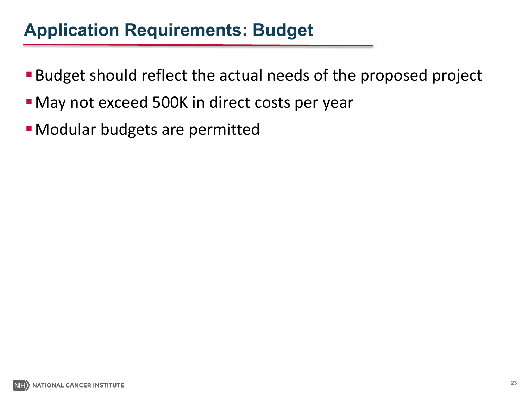#### **Application Requirements: Budget**

- Budget should reflect the actual needs of the proposed project
- **Nay not exceed 500K in direct costs per year**
- Modular budgets are permitted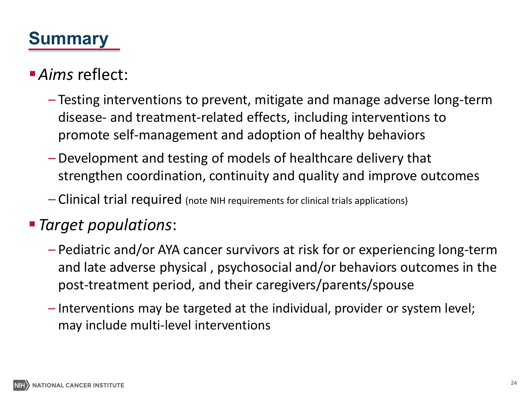## **Summary**

#### *Aims* reflect:

- Testing interventions to prevent, mitigate and manage adverse long-term disease- and treatment-related effects, including interventions to promote self-management and adoption of healthy behaviors
- Development and testing of models of healthcare delivery that strengthen coordination, continuity and quality and improve outcomes
- Clinical trial required (note NIH requirements for clinical trials applications)

#### *Target populations*:

- Pediatric and/or AYA cancer survivors at risk for or experiencing long-term and late adverse physical , psychosocial and/or behaviors outcomes in the post-treatment period, and their caregivers/parents/spouse
- Interventions may be targeted at the individual, provider or system level; may include multi-level interventions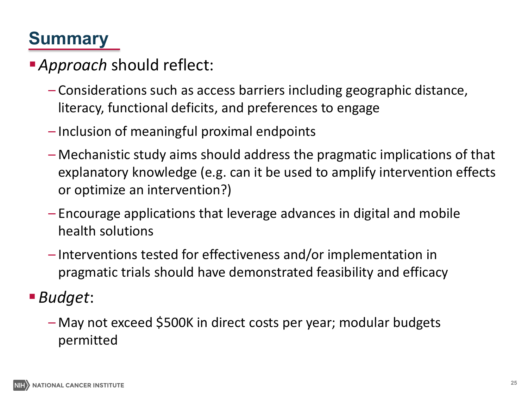## **Summary**

### *Approach* should reflect:

- Considerations such as access barriers including geographic distance, literacy, functional deficits, and preferences to engage
- Inclusion of meaningful proximal endpoints
- Mechanistic study aims should address the pragmatic implications of that explanatory knowledge (e.g. can it be used to amplify intervention effects or optimize an intervention?)
- Encourage applications that leverage advances in digital and mobile health solutions
- Interventions tested for effectiveness and/or implementation in pragmatic trials should have demonstrated feasibility and efficacy

#### *Budget*:

– May not exceed \$500K in direct costs per year; modular budgets permitted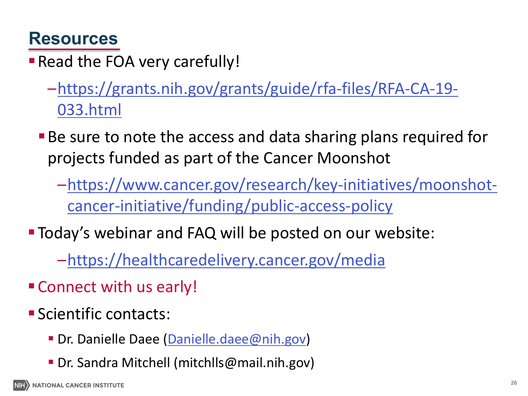#### **Resources**

**- Read the FOA very carefully!** 

- [–https://grants.nih.gov/grants/guide/rfa-files/RFA-CA-19-](https://grants.nih.gov/grants/guide/rfa-files/RFA-CA-19-033.html) 033.html
- Be sure to note the access and data sharing plans required for projects funded as part of the Cancer Moonshot
	- [–https://www.cancer.gov/research/key-initiatives/moonshot](https://www.cancer.gov/research/key-initiatives/moonshot-cancer-initiative/funding/public-access-policy)cancer-initiative/funding/public-access-policy
- Today's webinar and FAQ will be posted on our website:

[–https://healthcaredelivery.cancer.gov/media](https://healthcaredelivery.cancer.gov/media)

- Connect with us early!
- **Scientific contacts:** 
	- Dr. Danielle Daee [\(Danielle.daee@nih.gov](mailto:Danielle.daee@nih.gov))
	- Dr. Sandra Mitchell ([mitchlls@mail.nih.gov\)](mailto:mitchlls@mail.nih.gov)